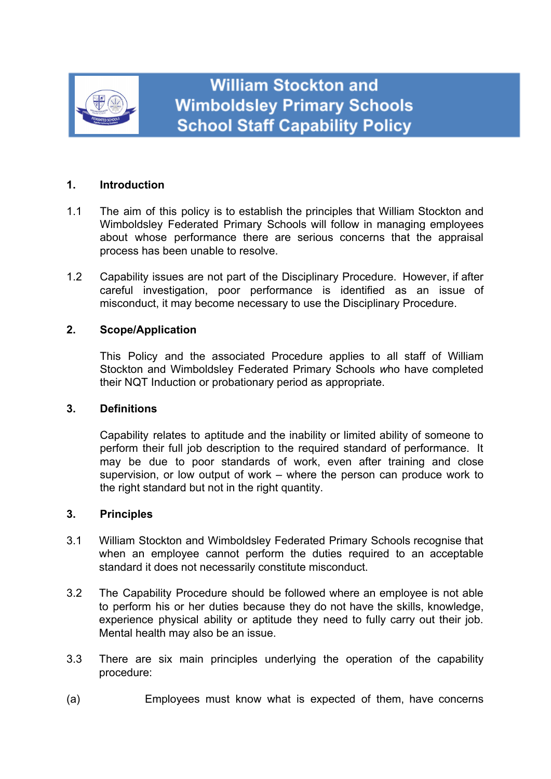

# **1. Introduction**

- 1.1 The aim of this policy is to establish the principles that William Stockton and Wimboldsley Federated Primary Schools will follow in managing employees about whose performance there are serious concerns that the appraisal process has been unable to resolve.
- 1.2 Capability issues are not part of the Disciplinary Procedure. However, if after careful investigation, poor performance is identified as an issue of misconduct, it may become necessary to use the Disciplinary Procedure.

# **2. Scope/Application**

This Policy and the associated Procedure applies to all staff of William Stockton and Wimboldsley Federated Primary Schools *w*ho have completed their NQT Induction or probationary period as appropriate.

### **3. Definitions**

Capability relates to aptitude and the inability or limited ability of someone to perform their full job description to the required standard of performance. It may be due to poor standards of work, even after training and close supervision, or low output of work – where the person can produce work to the right standard but not in the right quantity.

### **3. Principles**

- 3.1 William Stockton and Wimboldsley Federated Primary Schools recognise that when an employee cannot perform the duties required to an acceptable standard it does not necessarily constitute misconduct.
- 3.2 The Capability Procedure should be followed where an employee is not able to perform his or her duties because they do not have the skills, knowledge, experience physical ability or aptitude they need to fully carry out their job. Mental health may also be an issue.
- 3.3 There are six main principles underlying the operation of the capability procedure:
- (a) Employees must know what is expected of them, have concerns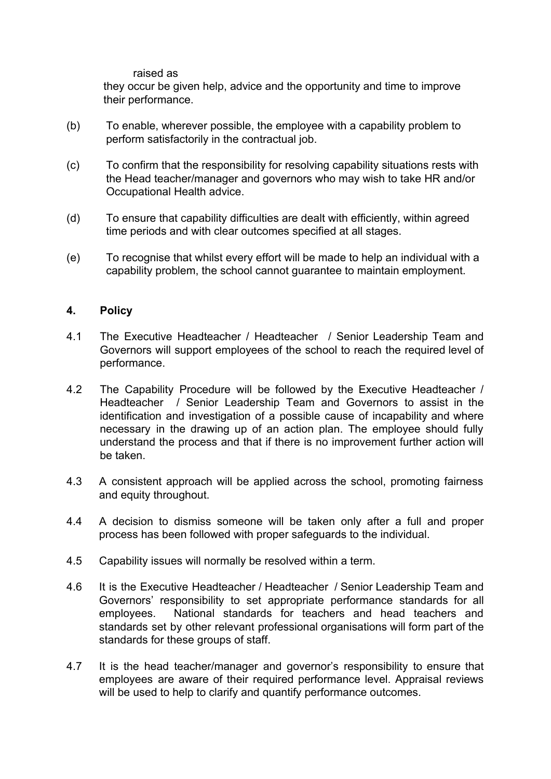raised as

they occur be given help, advice and the opportunity and time to improve their performance.

- (b) To enable, wherever possible, the employee with a capability problem to perform satisfactorily in the contractual job.
- (c) To confirm that the responsibility for resolving capability situations rests with the Head teacher/manager and governors who may wish to take HR and/or Occupational Health advice.
- (d) To ensure that capability difficulties are dealt with efficiently, within agreed time periods and with clear outcomes specified at all stages.
- (e) To recognise that whilst every effort will be made to help an individual with a capability problem, the school cannot guarantee to maintain employment.

### **4. Policy**

- 4.1 The Executive Headteacher / Headteacher / Senior Leadership Team and Governors will support employees of the school to reach the required level of performance.
- 4.2 The Capability Procedure will be followed by the Executive Headteacher / Headteacher / Senior Leadership Team and Governors to assist in the identification and investigation of a possible cause of incapability and where necessary in the drawing up of an action plan. The employee should fully understand the process and that if there is no improvement further action will be taken.
- 4.3 A consistent approach will be applied across the school, promoting fairness and equity throughout.
- 4.4 A decision to dismiss someone will be taken only after a full and proper process has been followed with proper safeguards to the individual.
- 4.5 Capability issues will normally be resolved within a term.
- 4.6 It is the Executive Headteacher / Headteacher / Senior Leadership Team and Governors' responsibility to set appropriate performance standards for all employees. National standards for teachers and head teachers and standards set by other relevant professional organisations will form part of the standards for these groups of staff.
- 4.7 It is the head teacher/manager and governor's responsibility to ensure that employees are aware of their required performance level. Appraisal reviews will be used to help to clarify and quantify performance outcomes.